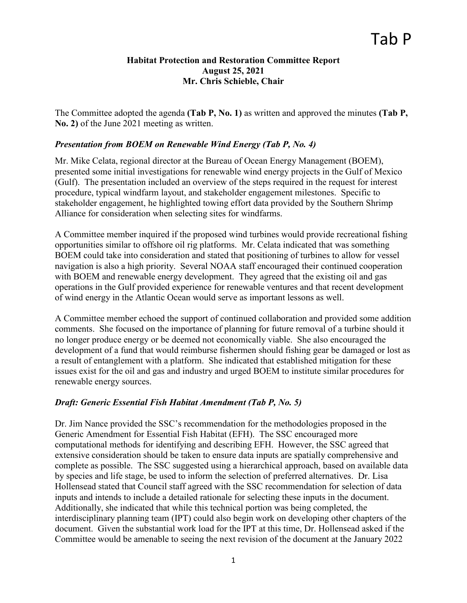## **Habitat Protection and Restoration Committee Report August 25, 2021 Mr. Chris Schieble, Chair**

The Committee adopted the agenda **(Tab P, No. 1)** as written and approved the minutes **(Tab P, No. 2)** of the June 2021 meeting as written.

## *Presentation from BOEM on Renewable Wind Energy (Tab P, No. 4)*

Mr. Mike Celata, regional director at the Bureau of Ocean Energy Management (BOEM), presented some initial investigations for renewable wind energy projects in the Gulf of Mexico (Gulf). The presentation included an overview of the steps required in the request for interest procedure, typical windfarm layout, and stakeholder engagement milestones. Specific to stakeholder engagement, he highlighted towing effort data provided by the Southern Shrimp Alliance for consideration when selecting sites for windfarms.

A Committee member inquired if the proposed wind turbines would provide recreational fishing opportunities similar to offshore oil rig platforms. Mr. Celata indicated that was something BOEM could take into consideration and stated that positioning of turbines to allow for vessel navigation is also a high priority. Several NOAA staff encouraged their continued cooperation with BOEM and renewable energy development. They agreed that the existing oil and gas operations in the Gulf provided experience for renewable ventures and that recent development of wind energy in the Atlantic Ocean would serve as important lessons as well.

A Committee member echoed the support of continued collaboration and provided some addition comments. She focused on the importance of planning for future removal of a turbine should it no longer produce energy or be deemed not economically viable. She also encouraged the development of a fund that would reimburse fishermen should fishing gear be damaged or lost as a result of entanglement with a platform. She indicated that established mitigation for these issues exist for the oil and gas and industry and urged BOEM to institute similar procedures for renewable energy sources.

## *Draft: Generic Essential Fish Habitat Amendment (Tab P, No. 5)*

Dr. Jim Nance provided the SSC's recommendation for the methodologies proposed in the Generic Amendment for Essential Fish Habitat (EFH). The SSC encouraged more computational methods for identifying and describing EFH. However, the SSC agreed that extensive consideration should be taken to ensure data inputs are spatially comprehensive and complete as possible. The SSC suggested using a hierarchical approach, based on available data by species and life stage, be used to inform the selection of preferred alternatives. Dr. Lisa Hollensead stated that Council staff agreed with the SSC recommendation for selection of data inputs and intends to include a detailed rationale for selecting these inputs in the document. Additionally, she indicated that while this technical portion was being completed, the interdisciplinary planning team (IPT) could also begin work on developing other chapters of the document. Given the substantial work load for the IPT at this time, Dr. Hollensead asked if the Committee would be amenable to seeing the next revision of the document at the January 2022